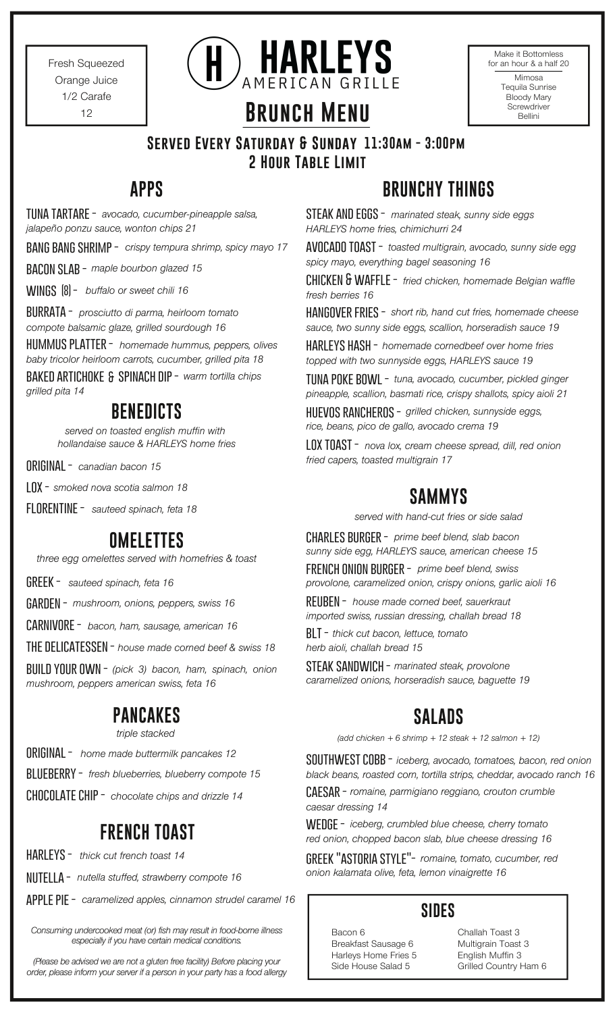Fresh Squeezed Orange Juice 1/2 Carafe 12



| Make it Bottomless<br>for an hour & a half 20                      |
|--------------------------------------------------------------------|
| Mimosa<br>Tequila Sunrise<br>Bloody Mary<br>Screwdriver<br>Bellini |

## **Served Every Saturday & Sunday 11:30am - 3:00pm 2 Hour Table Limit**

**Brunch Menu**

*avocado, cucumber-pineapple salsa,* **tuna tartare**  *jalapeño ponzu sauce, wonton chips 21*

**bang bang shrimp -** *crispy tempura shrimp, spicy mayo 17*

**bacon slab -** *maple bourbon glazed 15*

**wings -** *buffalo or sweet chili 16* **(8)**

**BURRATA** - prosciutto di parma, heirloom tomato *compote balsamic glaze, grilled sourdough 16*

**HUMMUS PLATTER** - *homemade hummus, peppers, olives baby tricolor heirloom carrots, cucumber, grilled pita 18*

**baked artichoke spinach dip -** *warm tortilla chips* **&** *grilled pita 14*

# **BENEDICTS**

*served on toasted english muffin with hollandaise sauce & HARLEYS home fries*

**original -** *canadian bacon 15*

**lox -** *smoked nova scotia salmon 18*

**florentine -** *sauteed spinach, feta 18*

# **OMELETTES**

*three egg omelettes served with homefries & toast*

**greek -** *sauteed spinach, feta 16*

**garden -** *mushroom, onions, peppers, swiss 16*

**carnivore -** *bacon, ham, sausage, american 16*

**the delicatessen -** *house made corned beef & swiss 18*

**build your own -** *(pick 3) bacon, ham, spinach, onion mushroom, peppers american swiss, feta 16*

## **PANCAKES**

#### *triple stacked*

**original -** *home made buttermilk pancakes 12*

**blueberry -** *fresh blueberries, blueberry compote 15*

**chocolate chip -** *chocolate chips and drizzle 14*

# **FRENCH TOAST**

*thick cut french toast 14* **harleys -**

**nutella -** *nutella stuffed, strawberry compote 16*

**apple pie -** *caramelized apples, cinnamon strudel caramel 16*

*Consuming undercooked meat (or) fish may result in food-borne illness especially if you have certain medical conditions.*

*(Please be advised we are not a gluten free facility) Before placing your order, please inform your server if a person in your party has a food allergy*

# **APPS BRUNCHY THINGS**

**steak and eggs -** *marinated steak, sunny side eggs HARLEYS home fries, chimichurri 24*

**avocado toast -** *toasted multigrain, avocado, sunny side egg spicy mayo, everything bagel seasoning 16*

**chicken & waffle -** *fried chicken, homemade Belgian waffle fresh berries 16*

*short rib, hand cut fries, homemade cheese* **hangover fries**  *sauce, two sunny side eggs, scallion, horseradish sauce 19*

**harleys hash -** *homemade cornedbeef over home fries topped with two sunnyside eggs, HARLEYS sauce 19*

**tuna poke bowl -** *tuna, avocado, cucumber, pickled ginger pineapple, scallion, basmati rice, crispy shallots, spicy aioli 21*

**huevos rancheros -** *grilled chicken, sunnyside eggs, rice, beans, pico de gallo, avocado crema 19*

**lox toast -** *nova lox, cream cheese spread, dill, red onion fried capers, toasted multigrain 17*

# **SAMMYS**

*served with hand-cut fries or side salad*

*prime beef blend, slab bacon* **charles burger**  *sunny side egg, HARLEYS sauce, american cheese 15*

**french onion burger -** *prime beef blend, swiss provolone, caramelized onion, crispy onions, garlic aioli 16*

**reuben -** *house made corned beef, sauerkraut imported swiss, russian dressing, challah bread 18*

**blt -** *thick cut bacon, lettuce, tomato herb aioli, challah bread 15*

**steak sandwich -** *marinated steak, provolone caramelized onions, horseradish sauce, baguette 19*

# **SALADS**

*(add chicken + 6 shrimp + 12 steak + 12 salmon + 12)*

**southwest cobb -** *iceberg, avocado, tomatoes, bacon, red onion black beans, roasted corn, tortilla strips, cheddar, avocado ranch 16*

**caesar -** *romaine, parmigiano reggiano, crouton crumble caesar dressing 14*

**wedge -** *iceberg, crumbled blue cheese, cherry tomato red onion, chopped bacon slab, blue cheese dressing 16*

**greek "astoria style"-** *romaine, tomato, cucumber, red onion kalamata olive, feta, lemon vinaigrette 16*

### **SIDES**

Bacon 6 Breakfast Sausage 6 Harleys Home Fries 5 Side House Salad 5

Challah Toast 3 Multigrain Toast 3 English Muffin 3 Grilled Country Ham 6